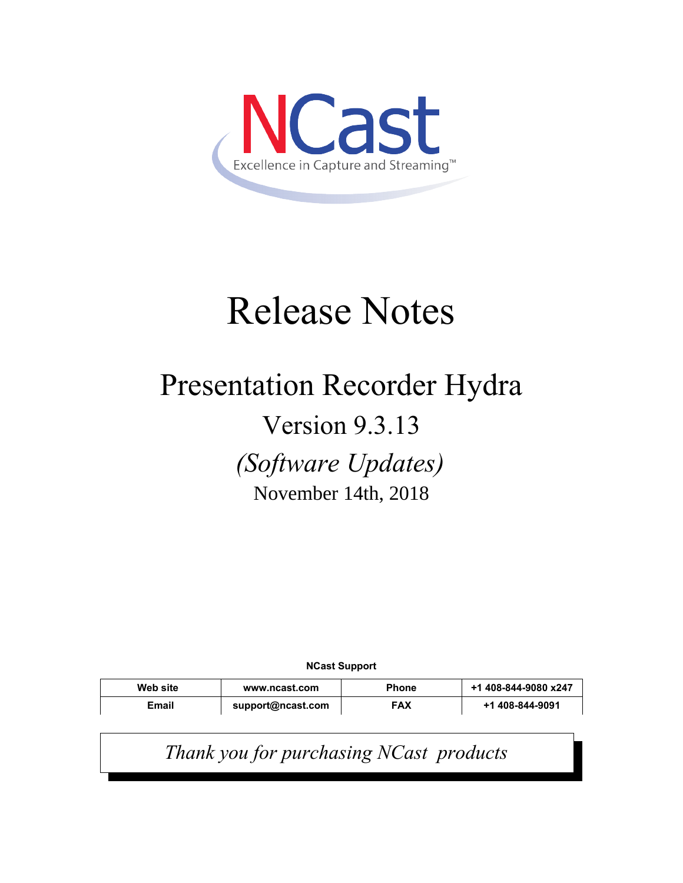

# Release Notes

## Presentation Recorder Hydra

## Version 9.3.13

*(Software Updates)*

November 14th, 2018

**NCast Support**

| Web site | www.ncast.com     | <b>Phone</b> | +1 408-844-9080 x247 |
|----------|-------------------|--------------|----------------------|
| Email    | support@ncast.com | <b>FAX</b>   | +1 408-844-9091      |

*Thank you for purchasing NCast products*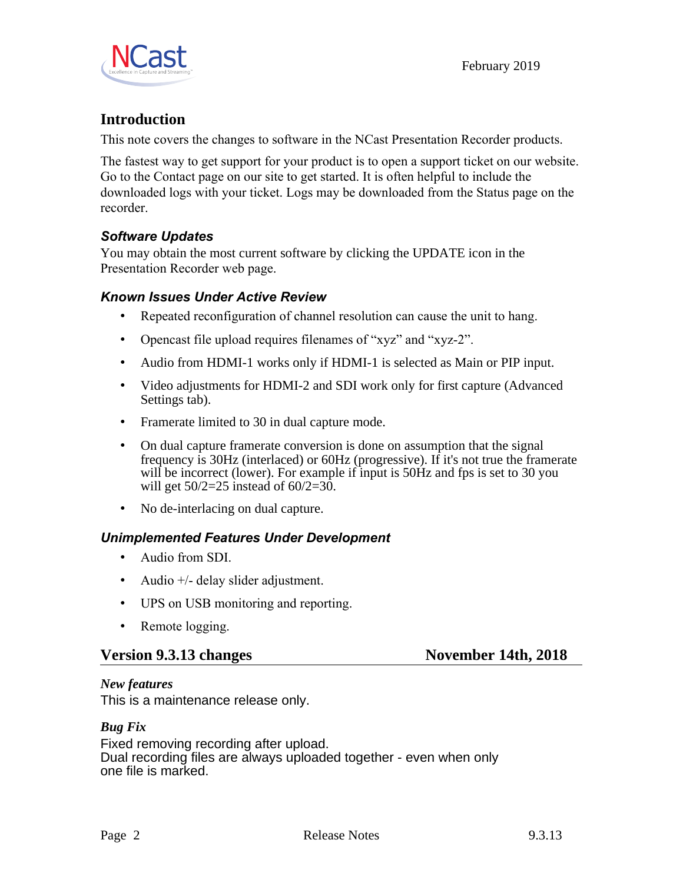

### **Introduction**

This note covers the changes to software in the NCast Presentation Recorder products.

The fastest way to get support for your product is to open a support ticket on our website. Go to the Contact page on our site to get started. It is often helpful to include the downloaded logs with your ticket. Logs may be downloaded from the Status page on the recorder.

#### *Software Updates*

You may obtain the most current software by clicking the UPDATE icon in the Presentation Recorder web page.

#### *Known Issues Under Active Review*

- Repeated reconfiguration of channel resolution can cause the unit to hang.
- Opencast file upload requires filenames of "xyz" and "xyz-2".
- Audio from HDMI-1 works only if HDMI-1 is selected as Main or PIP input.
- Video adjustments for HDMI-2 and SDI work only for first capture (Advanced Settings tab).
- Framerate limited to 30 in dual capture mode.
- On dual capture framerate conversion is done on assumption that the signal frequency is 30Hz (interlaced) or 60Hz (progressive). If it's not true the framerate will be incorrect (lower). For example if input is 50Hz and fps is set to 30 you will get  $50/2 = 25$  instead of  $60/2 = 30$ .
- No de-interlacing on dual capture.

#### *Unimplemented Features Under Development*

- Audio from SDI.
- Audio +/- delay slider adjustment.
- UPS on USB monitoring and reporting.
- Remote logging.

#### **Version 9.3.13 changes** November 14th, 2018

#### *New features*

This is a maintenance release only.

#### *Bug Fix*

Fixed removing recording after upload. Dual recording files are always uploaded together - even when only one file is marked.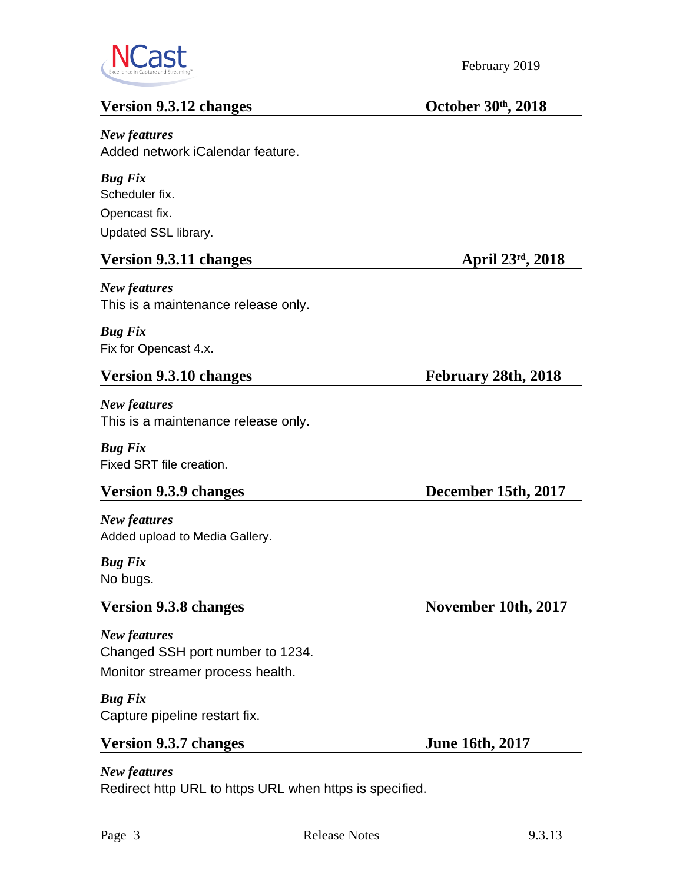

### **Version 9.3.12 changes October 30<sup>th</sup>, 2018**

*New features* Added network iCalendar feature.

*Bug Fix* Scheduler fix. Opencast fix. Updated SSL library.

#### **Version 9.3.11 changes April 23rd, 2018**

*New features* This is a maintenance release only.

#### *Bug Fix* Fix for Opencast 4.x.

#### Version 9.3.10 changes February 28th, 2018

*New features* This is a maintenance release only.

*Bug Fix* Fixed SRT file creation.

*New features* Added upload to Media Gallery.

#### *Bug Fix* No bugs.

*New features* Changed SSH port number to 1234. Monitor streamer process health.

#### *Bug Fix*

Capture pipeline restart fix.

#### **Version 9.3.7 changes** June 16th, 2017

*New features* Redirect http URL to https URL when https is specified.

**Version 9.3.9 changes** December 15th, 2017

**Version 9.3.8 changes** November 10th, 2017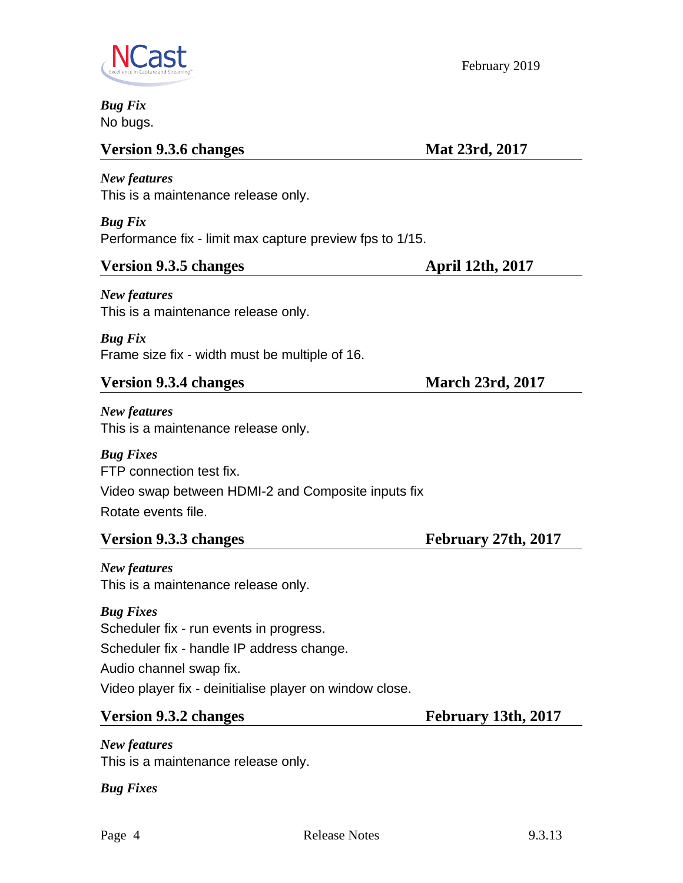

Ĺ

February 2019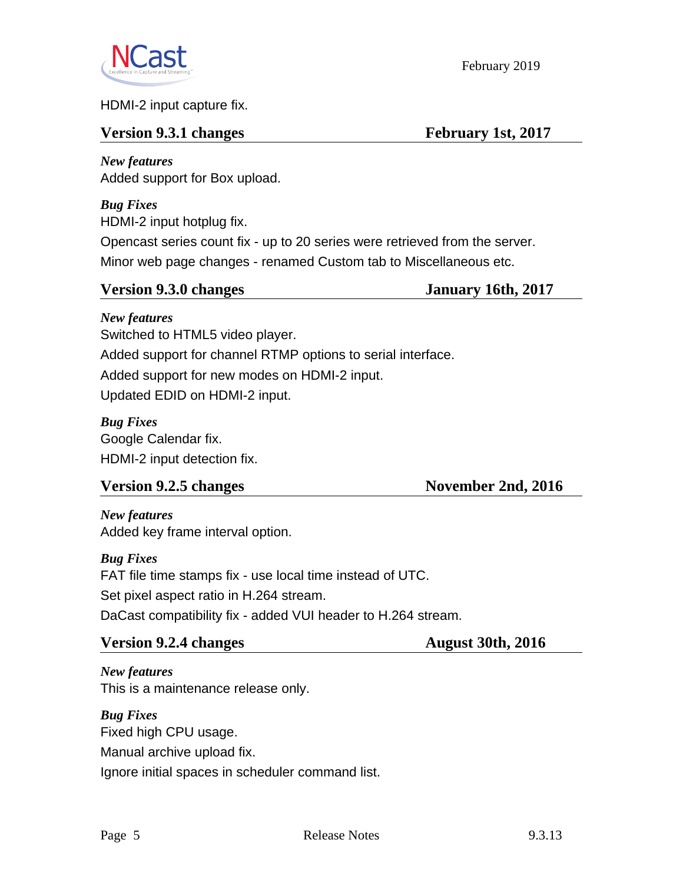

HDMI-2 input capture fix.

#### **Version 9.3.1 changes** February 1st, 2017

February 2019

*New features* Added support for Box upload.

*Bug Fixes* HDMI-2 input hotplug fix.

Opencast series count fix - up to 20 series were retrieved from the server. Minor web page changes - renamed Custom tab to Miscellaneous etc.

| <b>Version 9.3.0 changes</b> | <b>January 16th, 2017</b> |
|------------------------------|---------------------------|
|                              |                           |

*New features* Switched to HTML5 video player. Added support for channel RTMP options to serial interface. Added support for new modes on HDMI-2 input. Updated EDID on HDMI-2 input.

*Bug Fixes* Google Calendar fix. HDMI-2 input detection fix.

| <b>Version 9.2.5 changes</b> | November 2nd, 2016 |
|------------------------------|--------------------|
|------------------------------|--------------------|

*New features* Added key frame interval option.

*Bug Fixes* FAT file time stamps fix - use local time instead of UTC. Set pixel aspect ratio in H.264 stream. DaCast compatibility fix - added VUI header to H.264 stream.

#### **Version 9.2.4 changes** August 30th, 2016

*New features* This is a maintenance release only.

*Bug Fixes* Fixed high CPU usage. Manual archive upload fix. Ignore initial spaces in scheduler command list.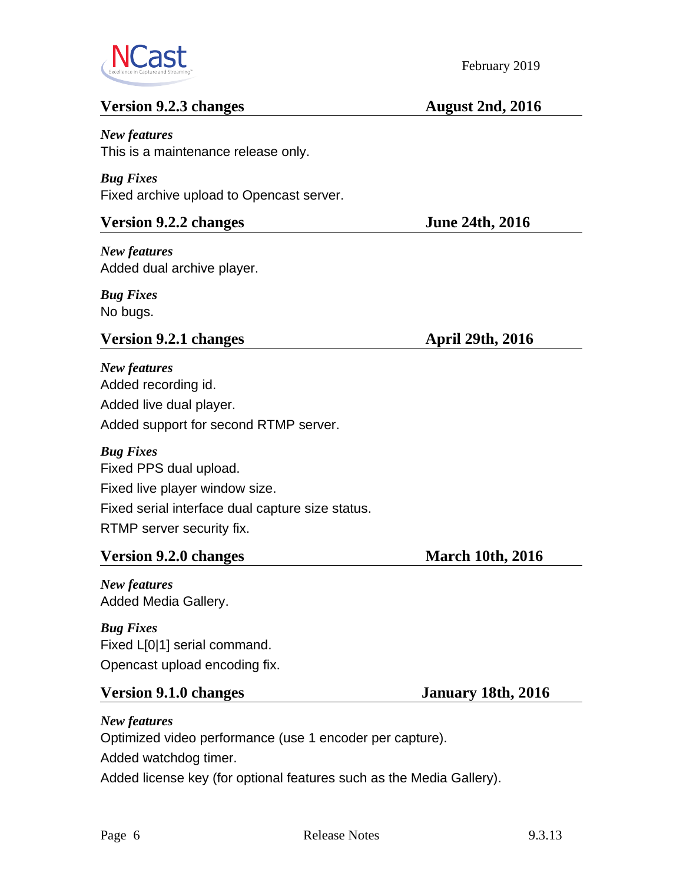

#### **Version 9.2.3 changes** August 2nd, 2016

*New features* This is a maintenance release only.

*Bug Fixes* Fixed archive upload to Opencast server.

#### **Version 9.2.2 changes** June 24th, 2016

*New features* Added dual archive player.

*Bug Fixes* No bugs.

#### **Version 9.2.1 changes** April 29th, 2016

*New features* Added recording id. Added live dual player. Added support for second RTMP server.

*Bug Fixes* Fixed PPS dual upload. Fixed live player window size. Fixed serial interface dual capture size status. RTMP server security fix.

#### **Version 9.2.0 changes** March 10th, 2016

*New features* Added Media Gallery.

*Bug Fixes* Fixed L[0|1] serial command. Opencast upload encoding fix.

#### **Version 9.1.0 changes January 18th, 2016**

*New features*

Optimized video performance (use 1 encoder per capture). Added watchdog timer.

Added license key (for optional features such as the Media Gallery).

February 2019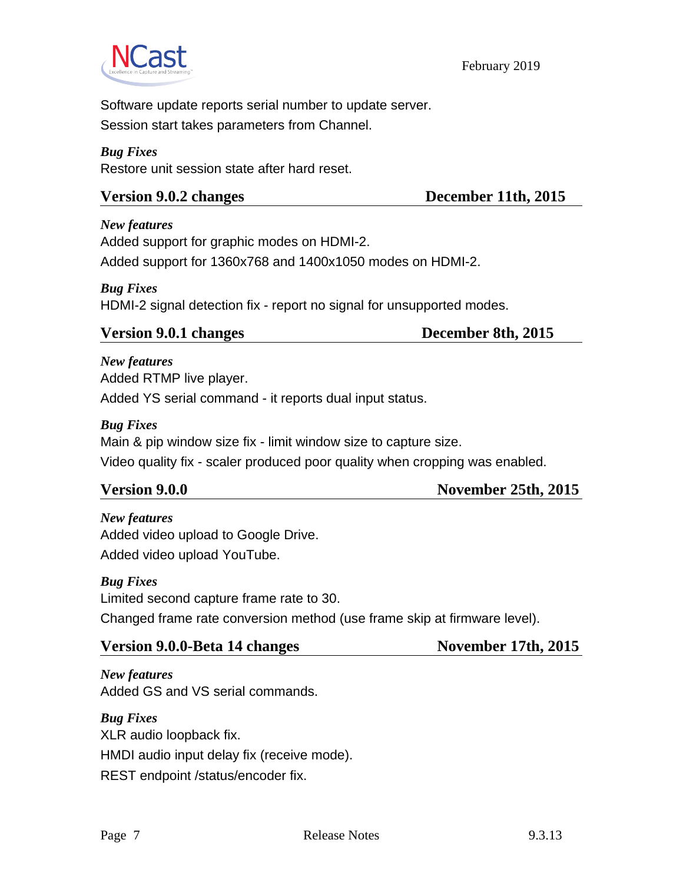

February 2019

Software update reports serial number to update server. Session start takes parameters from Channel.

#### *Bug Fixes*

Restore unit session state after hard reset.

#### Version 9.0.2 changes December 11th, 2015

*New features* Added support for graphic modes on HDMI-2. Added support for 1360x768 and 1400x1050 modes on HDMI-2.

#### *Bug Fixes* HDMI-2 signal detection fix - report no signal for unsupported modes.

#### **Version 9.0.1 changes December 8th, 2015**

*New features*

Added RTMP live player.

Added YS serial command - it reports dual input status.

#### *Bug Fixes*

Main & pip window size fix - limit window size to capture size.

Video quality fix - scaler produced poor quality when cropping was enabled.

**Version 9.0.0** November 25th, 2015

### *New features* Added video upload to Google Drive.

Added video upload YouTube.

#### *Bug Fixes*

Limited second capture frame rate to 30.

Changed frame rate conversion method (use frame skip at firmware level).

#### Version 9.0.0-Beta 14 changes November 17th, 2015

*New features* Added GS and VS serial commands.

*Bug Fixes* XLR audio loopback fix. HMDI audio input delay fix (receive mode). REST endpoint /status/encoder fix.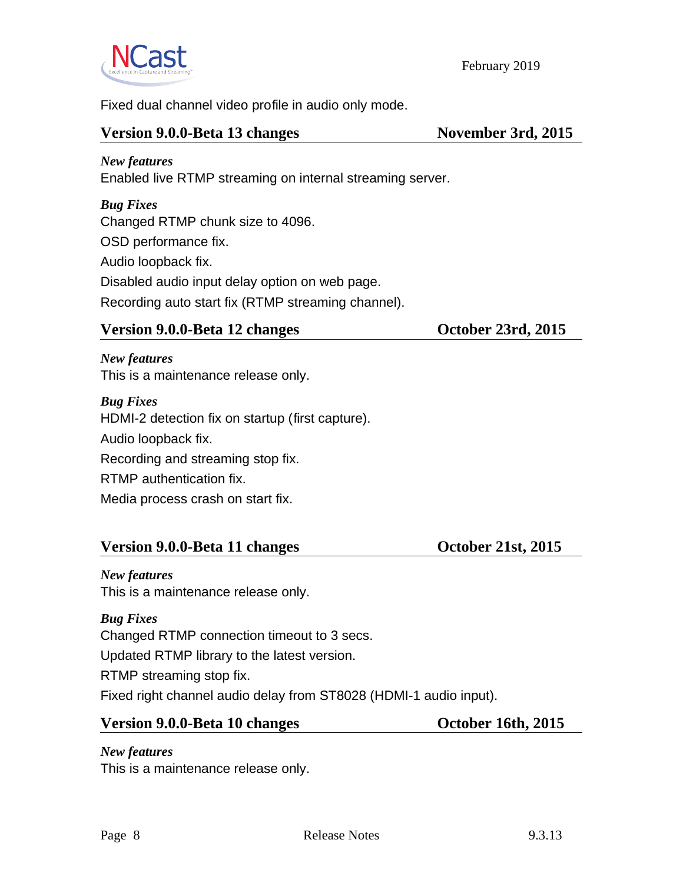

February 2019

Fixed dual channel video profile in audio only mode.

#### Version 9.0.0-Beta 13 changes November 3rd, 2015

### *New features* Enabled live RTMP streaming on internal streaming server.

*Bug Fixes*

Changed RTMP chunk size to 4096.

OSD performance fix.

Audio loopback fix.

Disabled audio input delay option on web page.

Recording auto start fix (RTMP streaming channel).

#### Version 9.0.0-Beta 12 changes October 23rd, 2015

*New features* This is a maintenance release only.

*Bug Fixes* HDMI-2 detection fix on startup (first capture). Audio loopback fix. Recording and streaming stop fix. RTMP authentication fix. Media process crash on start fix.

#### Version 9.0.0-Beta 11 changes **October 21st, 2015**

*New features* This is a maintenance release only.

*Bug Fixes* Changed RTMP connection timeout to 3 secs. Updated RTMP library to the latest version. RTMP streaming stop fix. Fixed right channel audio delay from ST8028 (HDMI-1 audio input).

#### Version 9.0.0-Beta 10 changes October 16th, 2015

*New features*

This is a maintenance release only.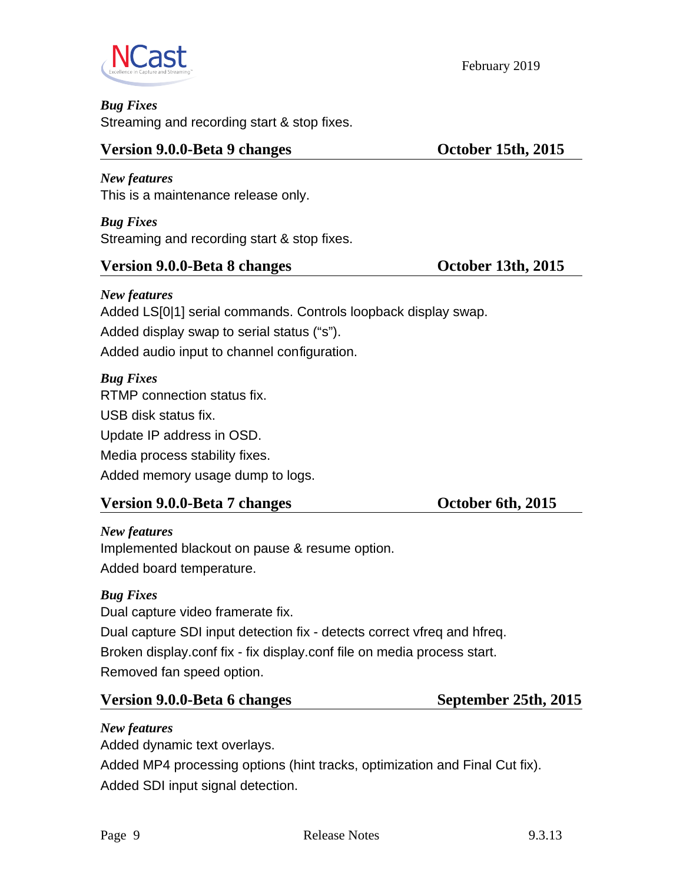

*Bug Fixes*

Streaming and recording start & stop fixes.

#### **Version 9.0.0-Beta 9 changes** October 15th, 2015

*New features* This is a maintenance release only.

*Bug Fixes* Streaming and recording start & stop fixes.

#### **Version 9.0.0-Beta 8 changes** October 13th, 2015

*New features* Added LS[0|1] serial commands. Controls loopback display swap. Added display swap to serial status ("s"). Added audio input to channel configuration.

#### *Bug Fixes*

RTMP connection status fix. USB disk status fix. Update IP address in OSD. Media process stability fixes. Added memory usage dump to logs.

### **Version 9.0.0-Beta 7 changes** October 6th, 2015

*New features* Implemented blackout on pause & resume option. Added board temperature.

### *Bug Fixes*

Dual capture video framerate fix.

Dual capture SDI input detection fix - detects correct vfreq and hfreq.

Broken display.conf fix - fix display.conf file on media process start. Removed fan speed option.

### Version 9.0.0-Beta 6 changes September 25th, 2015

### *New features*

Added dynamic text overlays.

Added MP4 processing options (hint tracks, optimization and Final Cut fix). Added SDI input signal detection.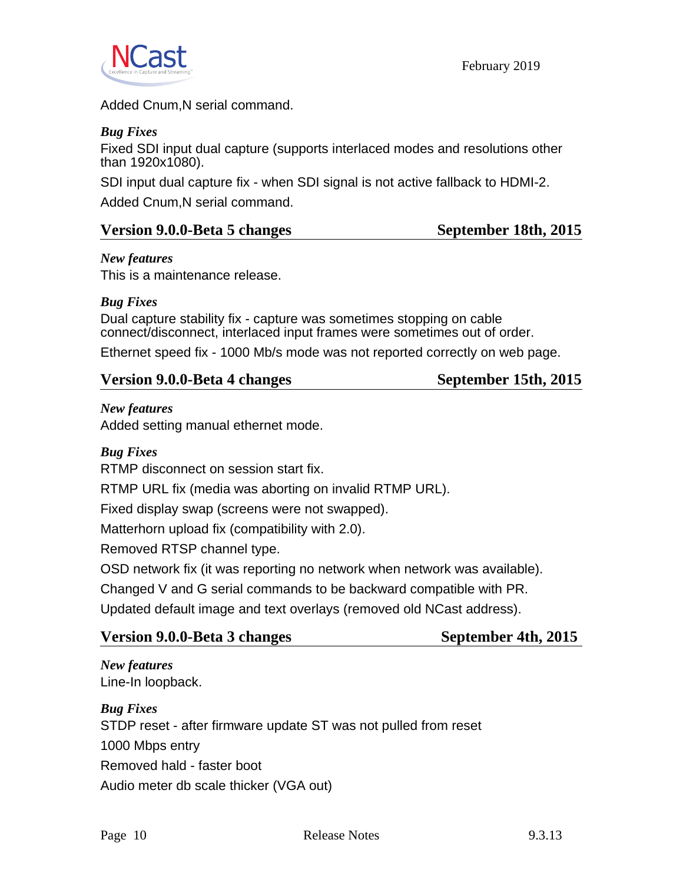

February 2019

Added Cnum,N serial command.

#### *Bug Fixes*

Fixed SDI input dual capture (supports interlaced modes and resolutions other than 1920x1080).

SDI input dual capture fix - when SDI signal is not active fallback to HDMI-2.

Added Cnum,N serial command.

#### Version 9.0.0-Beta 5 changes September 18th, 2015

#### *New features*

This is a maintenance release.

#### *Bug Fixes*

Dual capture stability fix - capture was sometimes stopping on cable connect/disconnect, interlaced input frames were sometimes out of order.

Ethernet speed fix - 1000 Mb/s mode was not reported correctly on web page.

**September 15th, 2015** 

#### *New features*

Added setting manual ethernet mode.

#### *Bug Fixes*

RTMP disconnect on session start fix.

RTMP URL fix (media was aborting on invalid RTMP URL).

Fixed display swap (screens were not swapped).

Matterhorn upload fix (compatibility with 2.0).

Removed RTSP channel type.

OSD network fix (it was reporting no network when network was available).

Changed V and G serial commands to be backward compatible with PR.

Updated default image and text overlays (removed old NCast address).

| Version 9.0.0-Beta 3 changes |  |
|------------------------------|--|
|                              |  |

**September 4th, 2015** 

*New features* Line-In loopback.

*Bug Fixes* STDP reset - after firmware update ST was not pulled from reset 1000 Mbps entry Removed hald - faster boot Audio meter db scale thicker (VGA out)